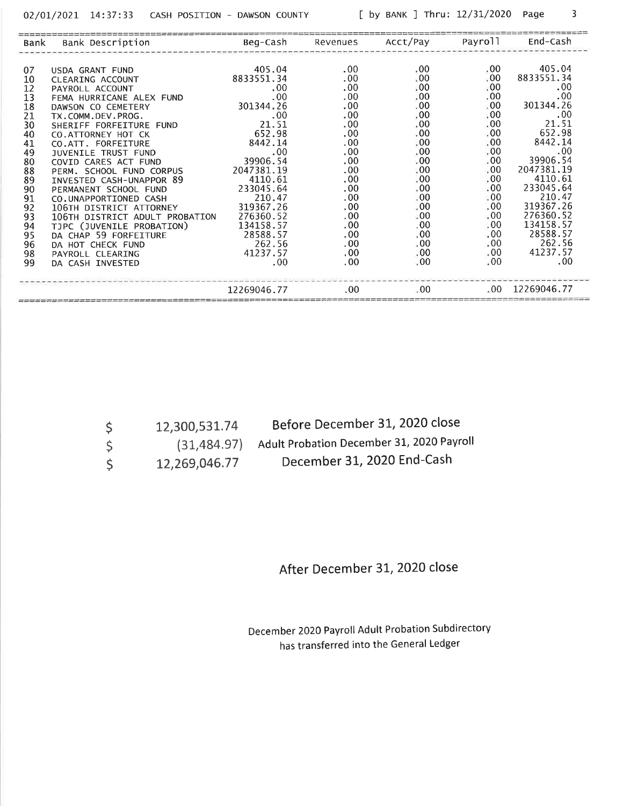$\overline{3}$ 

| Bank | Bank Description               | Beg-Cash     | Revenues     | Acct/Pay   | Payroll     | End-Cash    |
|------|--------------------------------|--------------|--------------|------------|-------------|-------------|
|      |                                |              |              |            |             |             |
| 07   | USDA GRANT FUND                | 405.04       | .00.         | .00.       | .00.        | 405.04      |
| 10   | CLEARING ACCOUNT               | 8833551.34   | .00          | .00        | .00.        | 8833551.34  |
| 12   | PAYROLL ACCOUNT                | $.00 \times$ | .00          | .00.       | ,00         | .00.        |
| 13   | FEMA HURRICANE ALEX FUND       | .00          | .00          | .00.       | .00.        | .00.        |
| 18   | DAWSON CO CEMETERY             | 301344.26    | .00          | .00        | .00.        | 301344.26   |
| 21   | TX.COMM.DEV.PROG.              | .00          | .00          | .00.       | $\cdot 00$  | $.00 \ \,$  |
| 30   | SHERIFF FORFEITURE FUND        | 21.51        | .00          | .00.       | .00.        | 21.51       |
| 40   | CO. ATTORNEY HOT CK            | 652.98       | .00          | .00        | .00         | 652.98      |
| 41   | CO.ATT. FORFEITURE             | 8442.14      | .00          | .00.       | .00.        | 8442.14     |
| 49   | JUVENILE TRUST FUND            | $.00 \times$ | .00          | .00.       | .00         | .00.        |
| 80   | COVID CARES ACT FUND           | 39906.54     | .00          | .00.       | .00.        | 39906.54    |
| 88   | PERM. SCHOOL FUND CORPUS       | 2047381.19   | .00          | .00        | $.00 \,$    | 2047381.19  |
| 89   | INVESTED CASH-UNAPPOR 89       | 4110.61      | .00.         | .00        | .00         | 4110.61     |
| 90   | PERMANENT SCHOOL FUND          | 233045.64    | .00          | $\cdot 00$ | .00.        | 233045.64   |
| 91   | CO.UNAPPORTIONED CASH          | 210.47       | .00          | .00        | . 00        | 210.47      |
| 92   | 106TH DISTRICT ATTORNEY        | 319367.26    | .00          | .00        | .00.        | 319367.26   |
| 93   | 106TH DISTRICT ADULT PROBATION | 276360.52    | .00          | . 00       | . 00        | 276360.52   |
| 94   | TJPC (JUVENILE PROBATION)      | 134158.57    | .00          | .00        | .00         | 134158.57   |
| 95   | DA CHAP 59 FORFEITURE          | 28588.57     | $.00 \,$     | .00.       | $.00 \cdot$ | 28588.57    |
| 96   | DA HOT CHECK FUND              | 262.56       | .00          | .00.       | .00         | 262.56      |
| 98   | PAYROLL CLEARING               | 41237.57     | .00.         | .00.       | $.00 \cdot$ | 41237.57    |
| 99   | DA CASH INVESTED               | $.00 \,$     | $.00 \times$ | .00.       | .00.        | .00         |
|      |                                | 12269046.77  | .00.         | . 00       | .00.        | 12269046.77 |

|    | 12,300,531.74 | Before December 31, 2020 close            |
|----|---------------|-------------------------------------------|
| -S | (31, 484.97)  | Adult Probation December 31, 2020 Payroll |
|    | 12,269,046.77 | December 31, 2020 End-Cash                |

After December 31, 2020 close

December 2020 Payroll Adult Probation Subdirectory has transferred into the General Ledger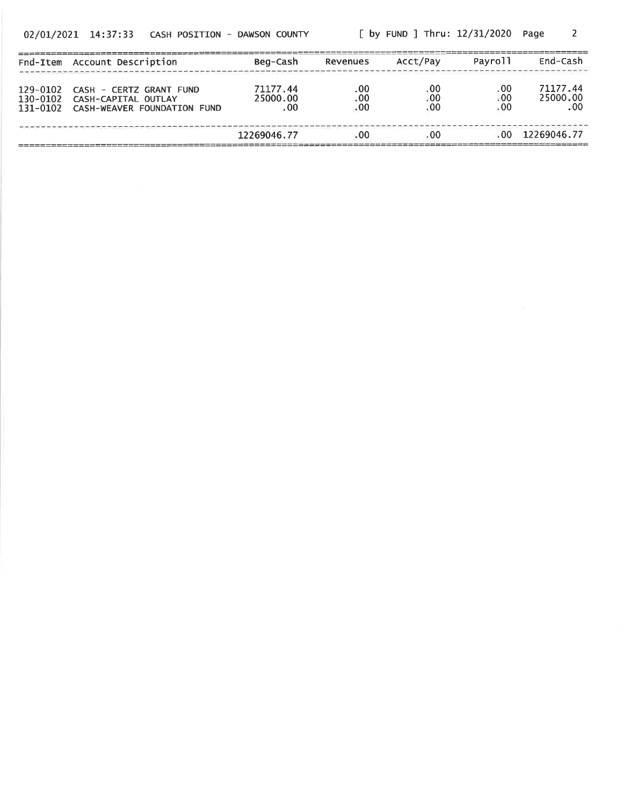[ by FUND ] Thru: 12/31/2020 Page  $\overline{2}$ 

| Fnd-Item                         | Account Description                                                           | Beg-Cash                    | Revenues            | Acct/Pay            | Payroll             | End-Cash                            |
|----------------------------------|-------------------------------------------------------------------------------|-----------------------------|---------------------|---------------------|---------------------|-------------------------------------|
| 129-0102<br>130-0102<br>131-0102 | CASH - CERTZ GRANT FUND<br>CASH-CAPITAL OUTLAY<br>CASH-WEAVER FOUNDATION FUND | 71177.44<br>25000.00<br>.00 | .00<br>: 00<br>. 00 | .00<br>. 00<br>. 00 | .00<br>. 00<br>. 00 | 71177.44<br>25000.00<br>$.00 \cdot$ |
|                                  |                                                                               | 12269046.77                 | .00                 | -00                 | -00.                | 12269046.77                         |